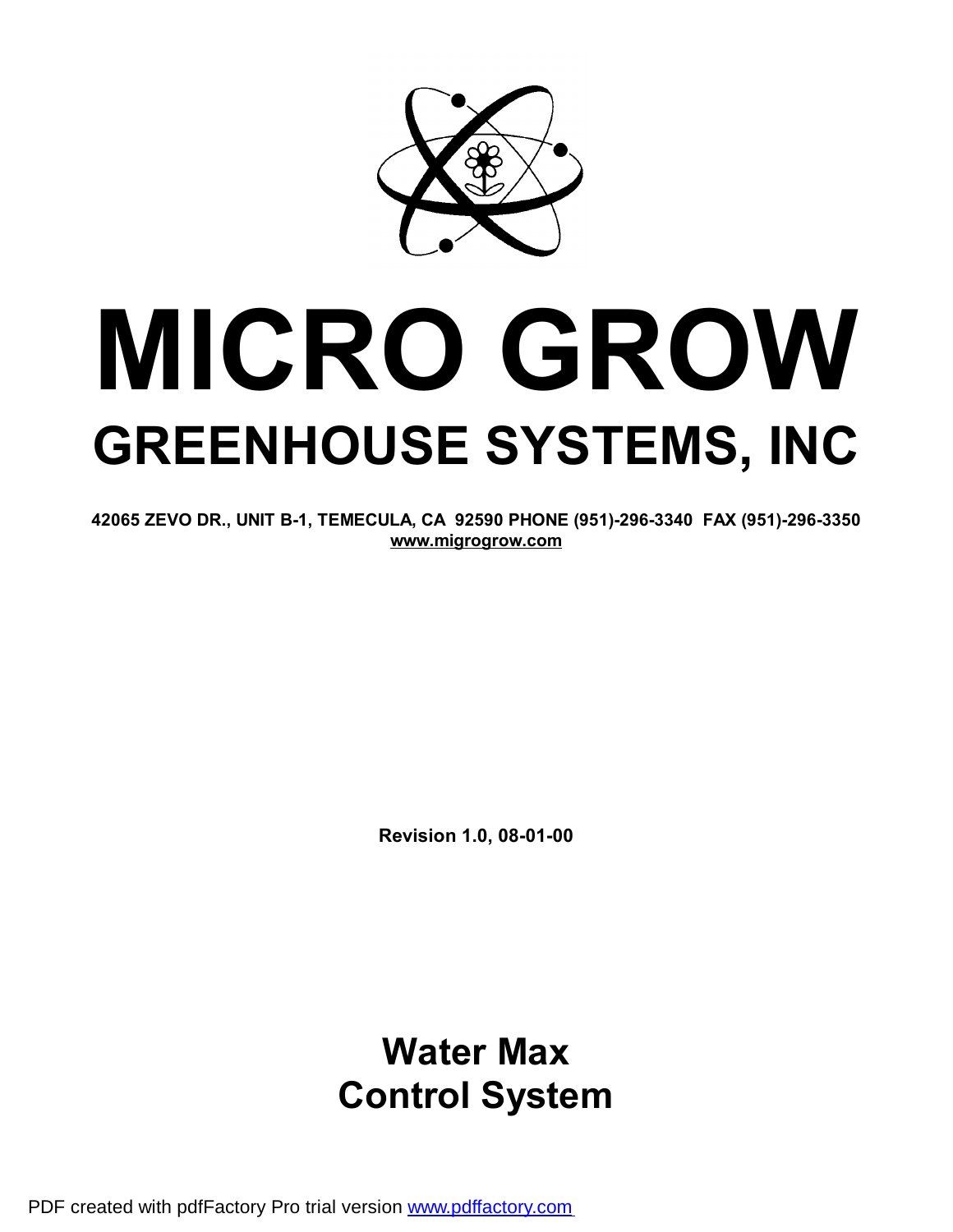

# **MICRO GROW GREENHOUSE SYSTEMS, INC**

**42065 ZEVO DR., UNIT B-1, TEMECULA, CA 92590 PHONE (951)-296-3340 FAX (951)-296-3350 [www.migrogrow.com](http://www.migrogrow.com)**

**Revision 1.0, 08-01-00** 

# **Water Max Control System**

PDF created with pdfFactory Pro trial version [www.pdffactory.com](http://www.pdffactory.com)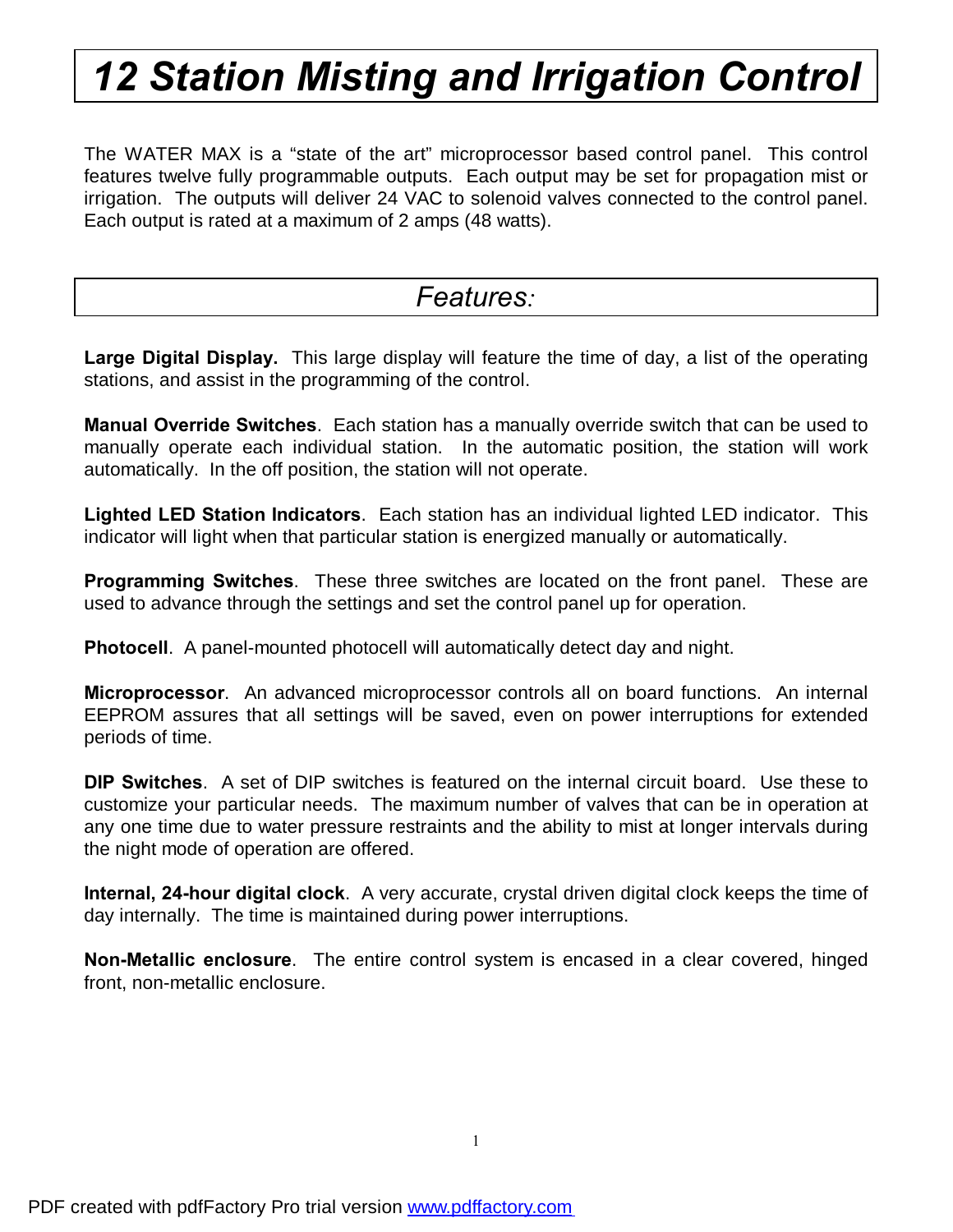# *12 Station Misting and Irrigation Control*

The WATER MAX is a "state of the art" microprocessor based control panel. This control features twelve fully programmable outputs. Each output may be set for propagation mist or irrigation. The outputs will deliver 24 VAC to solenoid valves connected to the control panel. Each output is rated at a maximum of 2 amps (48 watts).

## *Features:*

**Large Digital Display.** This large display will feature the time of day, a list of the operating stations, and assist in the programming of the control.

**Manual Override Switches**. Each station has a manually override switch that can be used to manually operate each individual station. In the automatic position, the station will work automatically. In the off position, the station will not operate.

**Lighted LED Station Indicators**. Each station has an individual lighted LED indicator. This indicator will light when that particular station is energized manually or automatically.

**Programming Switches**. These three switches are located on the front panel. These are used to advance through the settings and set the control panel up for operation.

**Photocell**. A panel-mounted photocell will automatically detect day and night.

**Microprocessor**. An advanced microprocessor controls all on board functions. An internal EEPROM assures that all settings will be saved, even on power interruptions for extended periods of time.

**DIP Switches**. A set of DIP switches is featured on the internal circuit board. Use these to customize your particular needs. The maximum number of valves that can be in operation at any one time due to water pressure restraints and the ability to mist at longer intervals during the night mode of operation are offered.

**Internal, 24-hour digital clock**. A very accurate, crystal driven digital clock keeps the time of day internally. The time is maintained during power interruptions.

**Non-Metallic enclosure**. The entire control system is encased in a clear covered, hinged front, non-metallic enclosure.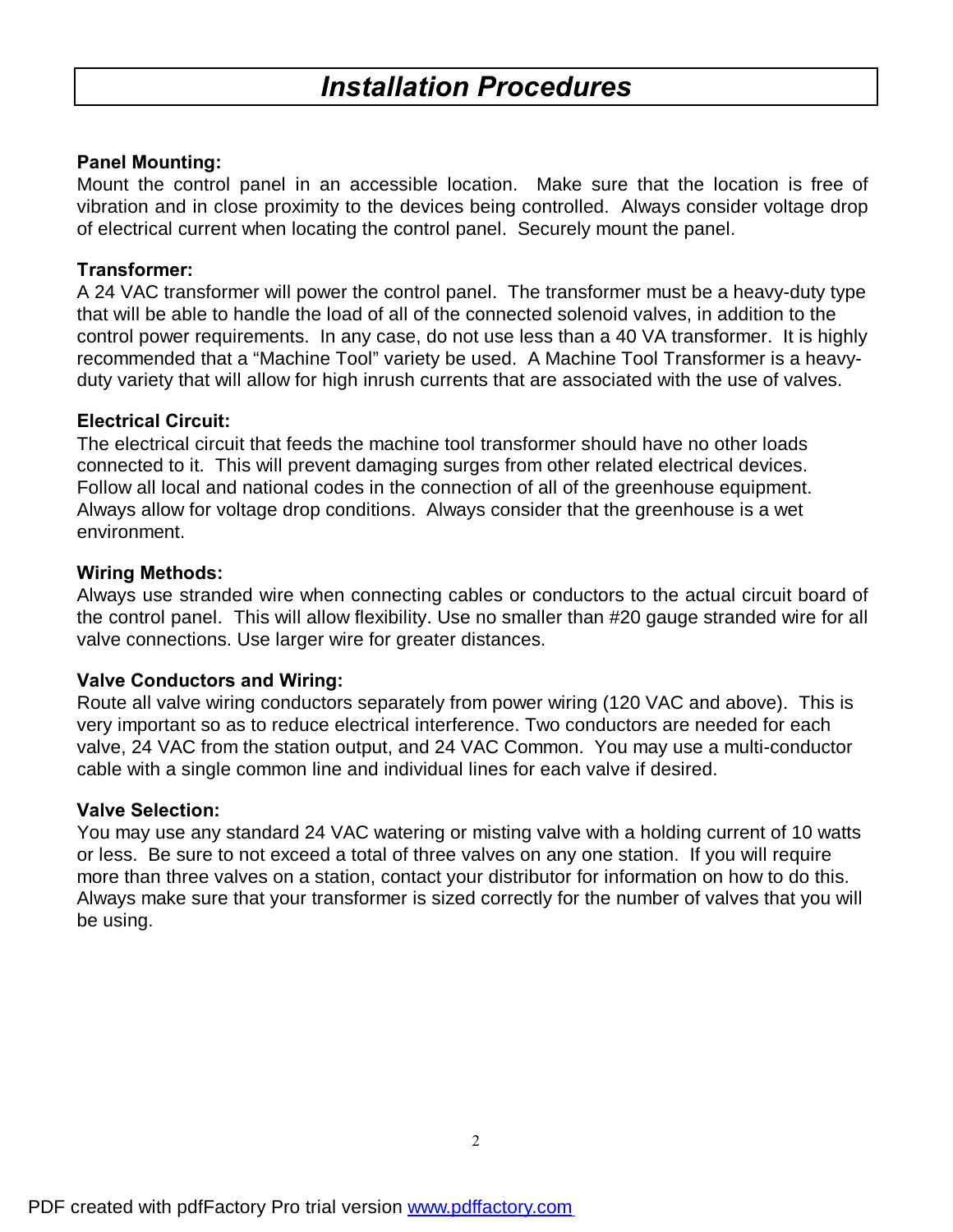## *Installation Procedures*

#### **Panel Mounting:**

Mount the control panel in an accessible location. Make sure that the location is free of vibration and in close proximity to the devices being controlled. Always consider voltage drop of electrical current when locating the control panel. Securely mount the panel.

#### **Transformer:**

A 24 VAC transformer will power the control panel. The transformer must be a heavy-duty type that will be able to handle the load of all of the connected solenoid valves, in addition to the control power requirements. In any case, do not use less than a 40 VA transformer. It is highly recommended that a "Machine Tool" variety be used. A Machine Tool Transformer is a heavyduty variety that will allow for high inrush currents that are associated with the use of valves.

#### **Electrical Circuit:**

The electrical circuit that feeds the machine tool transformer should have no other loads connected to it. This will prevent damaging surges from other related electrical devices. Follow all local and national codes in the connection of all of the greenhouse equipment. Always allow for voltage drop conditions. Always consider that the greenhouse is a wet environment.

#### **Wiring Methods:**

Always use stranded wire when connecting cables or conductors to the actual circuit board of the control panel. This will allow flexibility. Use no smaller than #20 gauge stranded wire for all valve connections. Use larger wire for greater distances.

#### **Valve Conductors and Wiring:**

Route all valve wiring conductors separately from power wiring (120 VAC and above). This is very important so as to reduce electrical interference. Two conductors are needed for each valve, 24 VAC from the station output, and 24 VAC Common. You may use a multi-conductor cable with a single common line and individual lines for each valve if desired.

#### **Valve Selection:**

You may use any standard 24 VAC watering or misting valve with a holding current of 10 watts or less. Be sure to not exceed a total of three valves on any one station. If you will require more than three valves on a station, contact your distributor for information on how to do this. Always make sure that your transformer is sized correctly for the number of valves that you will be using.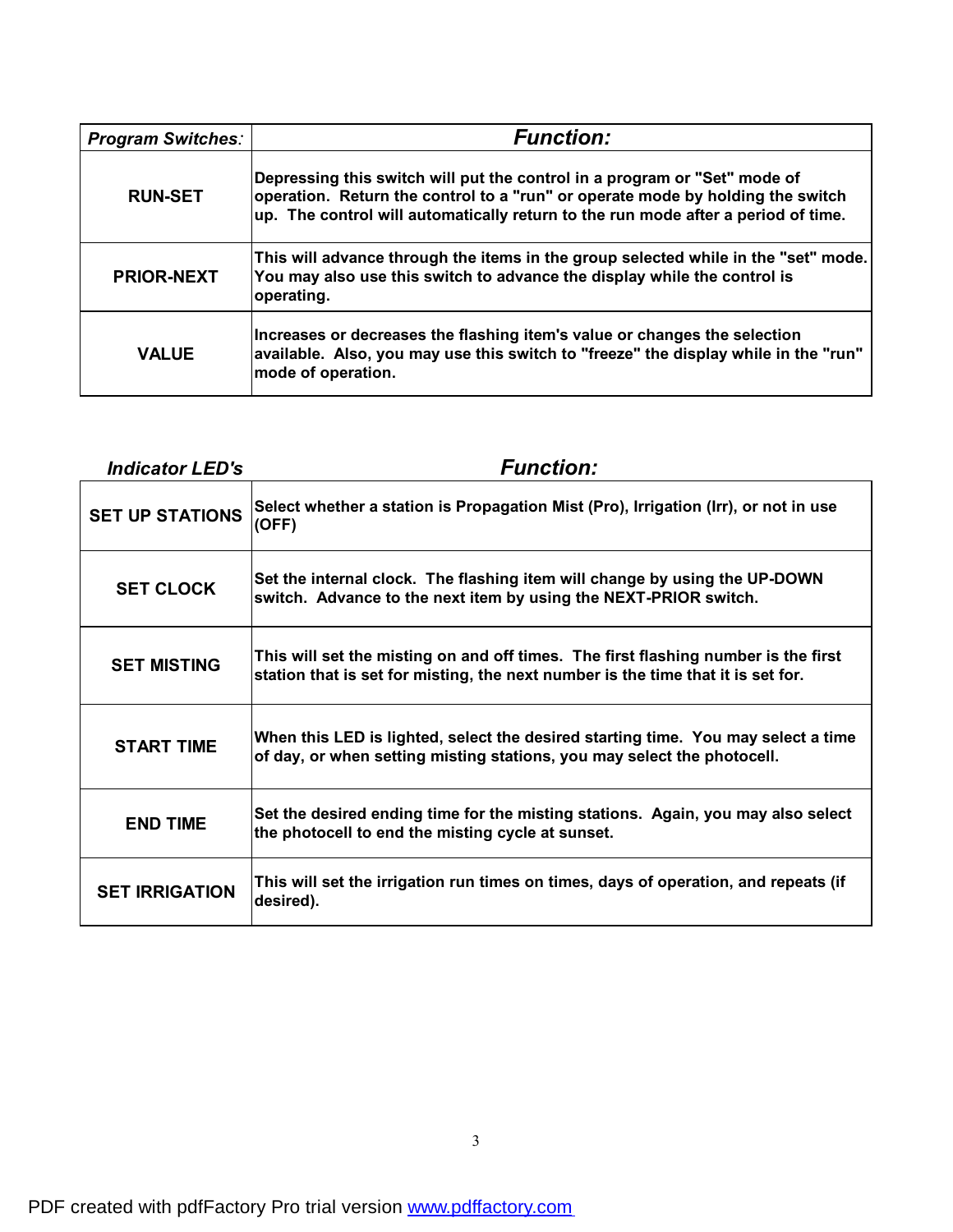| <b>Program Switches:</b> | <b>Function:</b>                                                                                                                                                                                                                                 |
|--------------------------|--------------------------------------------------------------------------------------------------------------------------------------------------------------------------------------------------------------------------------------------------|
| <b>RUN-SET</b>           | Depressing this switch will put the control in a program or "Set" mode of<br>operation. Return the control to a "run" or operate mode by holding the switch<br>up. The control will automatically return to the run mode after a period of time. |
| <b>PRIOR-NEXT</b>        | This will advance through the items in the group selected while in the "set" mode.<br>You may also use this switch to advance the display while the control is<br>operating.                                                                     |
| <b>VALUE</b>             | Increases or decreases the flashing item's value or changes the selection<br>available. Also, you may use this switch to "freeze" the display while in the "run"<br>mode of operation.                                                           |

| <b>Indicator LED's</b> | <b>Function:</b>                                                                                                                                                       |
|------------------------|------------------------------------------------------------------------------------------------------------------------------------------------------------------------|
| <b>SET UP STATIONS</b> | Select whether a station is Propagation Mist (Pro), Irrigation (Irr), or not in use<br>(OFF)                                                                           |
| <b>SET CLOCK</b>       | Set the internal clock. The flashing item will change by using the UP-DOWN<br>switch. Advance to the next item by using the NEXT-PRIOR switch.                         |
| <b>SET MISTING</b>     | This will set the misting on and off times. The first flashing number is the first<br>station that is set for misting, the next number is the time that it is set for. |
| <b>START TIME</b>      | When this LED is lighted, select the desired starting time. You may select a time<br>of day, or when setting misting stations, you may select the photocell.           |
| <b>END TIME</b>        | Set the desired ending time for the misting stations. Again, you may also select<br>the photocell to end the misting cycle at sunset.                                  |
| <b>SET IRRIGATION</b>  | This will set the irrigation run times on times, days of operation, and repeats (if<br>desired).                                                                       |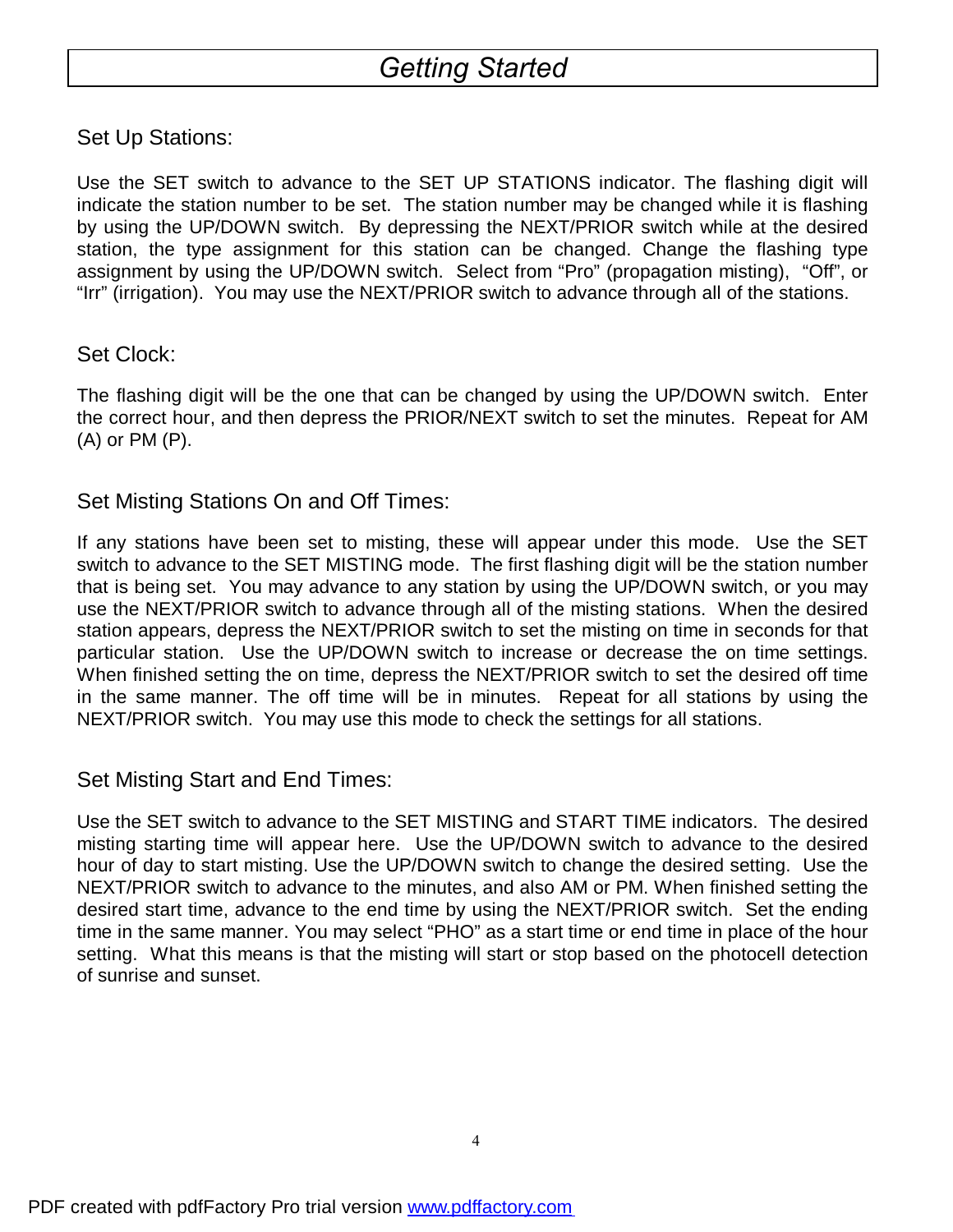Set Up Stations:

Use the SET switch to advance to the SET UP STATIONS indicator. The flashing digit will indicate the station number to be set. The station number may be changed while it is flashing by using the UP/DOWN switch. By depressing the NEXT/PRIOR switch while at the desired station, the type assignment for this station can be changed. Change the flashing type assignment by using the UP/DOWN switch. Select from "Pro" (propagation misting), "Off", or "Irr" (irrigation). You may use the NEXT/PRIOR switch to advance through all of the stations.

#### Set Clock:

The flashing digit will be the one that can be changed by using the UP/DOWN switch. Enter the correct hour, and then depress the PRIOR/NEXT switch to set the minutes. Repeat for AM (A) or PM (P).

#### Set Misting Stations On and Off Times:

If any stations have been set to misting, these will appear under this mode. Use the SET switch to advance to the SET MISTING mode. The first flashing digit will be the station number that is being set. You may advance to any station by using the UP/DOWN switch, or you may use the NEXT/PRIOR switch to advance through all of the misting stations. When the desired station appears, depress the NEXT/PRIOR switch to set the misting on time in seconds for that particular station. Use the UP/DOWN switch to increase or decrease the on time settings. When finished setting the on time, depress the NEXT/PRIOR switch to set the desired off time in the same manner. The off time will be in minutes. Repeat for all stations by using the NEXT/PRIOR switch. You may use this mode to check the settings for all stations.

#### Set Misting Start and End Times:

Use the SET switch to advance to the SET MISTING and START TIME indicators. The desired misting starting time will appear here. Use the UP/DOWN switch to advance to the desired hour of day to start misting. Use the UP/DOWN switch to change the desired setting. Use the NEXT/PRIOR switch to advance to the minutes, and also AM or PM. When finished setting the desired start time, advance to the end time by using the NEXT/PRIOR switch. Set the ending time in the same manner. You may select "PHO" as a start time or end time in place of the hour setting. What this means is that the misting will start or stop based on the photocell detection of sunrise and sunset.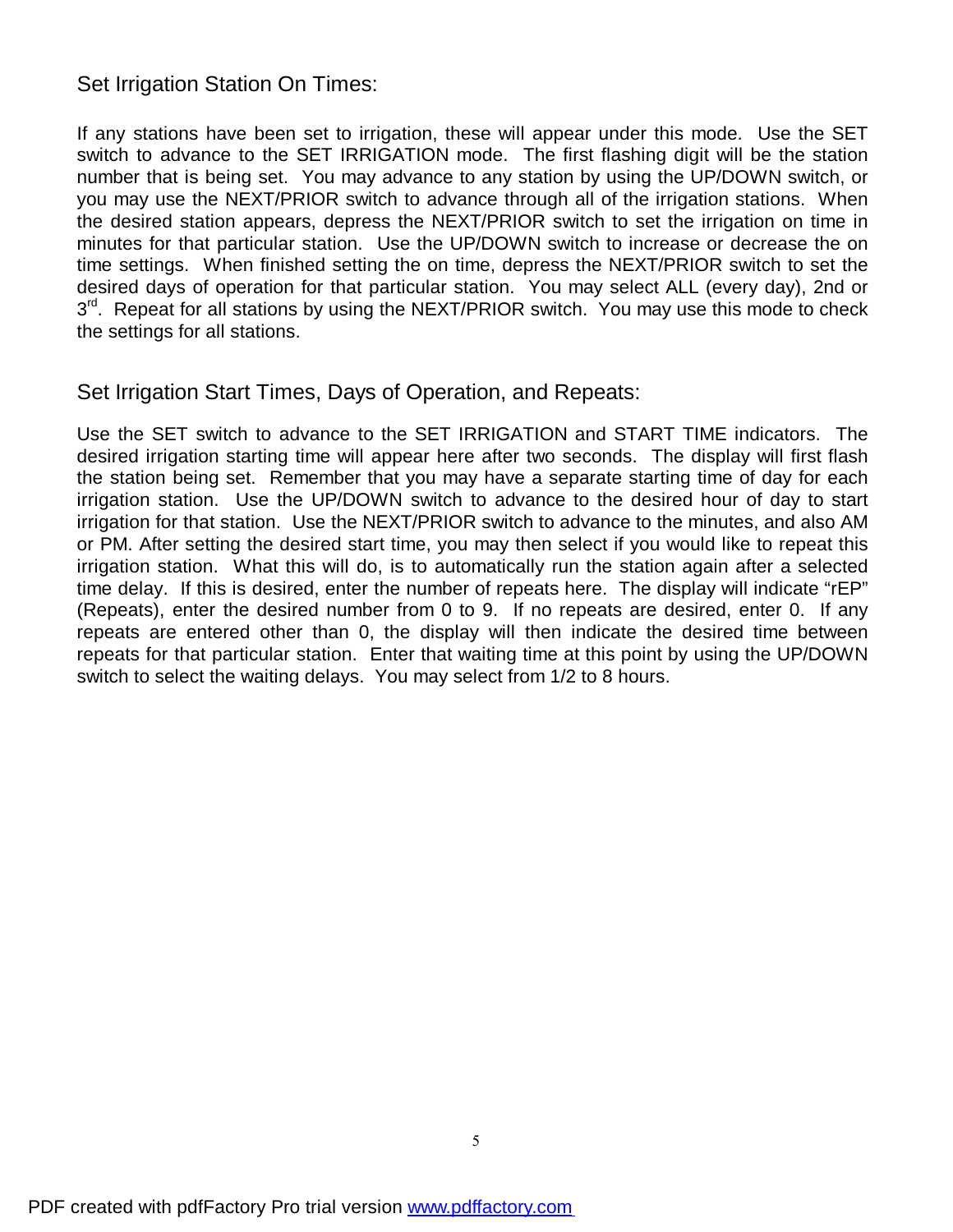#### Set Irrigation Station On Times:

If any stations have been set to irrigation, these will appear under this mode. Use the SET switch to advance to the SET IRRIGATION mode. The first flashing digit will be the station number that is being set. You may advance to any station by using the UP/DOWN switch, or you may use the NEXT/PRIOR switch to advance through all of the irrigation stations. When the desired station appears, depress the NEXT/PRIOR switch to set the irrigation on time in minutes for that particular station. Use the UP/DOWN switch to increase or decrease the on time settings. When finished setting the on time, depress the NEXT/PRIOR switch to set the desired days of operation for that particular station. You may select ALL (every day), 2nd or 3<sup>rd</sup>. Repeat for all stations by using the NEXT/PRIOR switch. You may use this mode to check the settings for all stations.

Set Irrigation Start Times, Days of Operation, and Repeats:

Use the SET switch to advance to the SET IRRIGATION and START TIME indicators. The desired irrigation starting time will appear here after two seconds. The display will first flash the station being set. Remember that you may have a separate starting time of day for each irrigation station. Use the UP/DOWN switch to advance to the desired hour of day to start irrigation for that station. Use the NEXT/PRIOR switch to advance to the minutes, and also AM or PM. After setting the desired start time, you may then select if you would like to repeat this irrigation station. What this will do, is to automatically run the station again after a selected time delay. If this is desired, enter the number of repeats here. The display will indicate "rEP" (Repeats), enter the desired number from 0 to 9. If no repeats are desired, enter 0. If any repeats are entered other than 0, the display will then indicate the desired time between repeats for that particular station. Enter that waiting time at this point by using the UP/DOWN switch to select the waiting delays. You may select from 1/2 to 8 hours.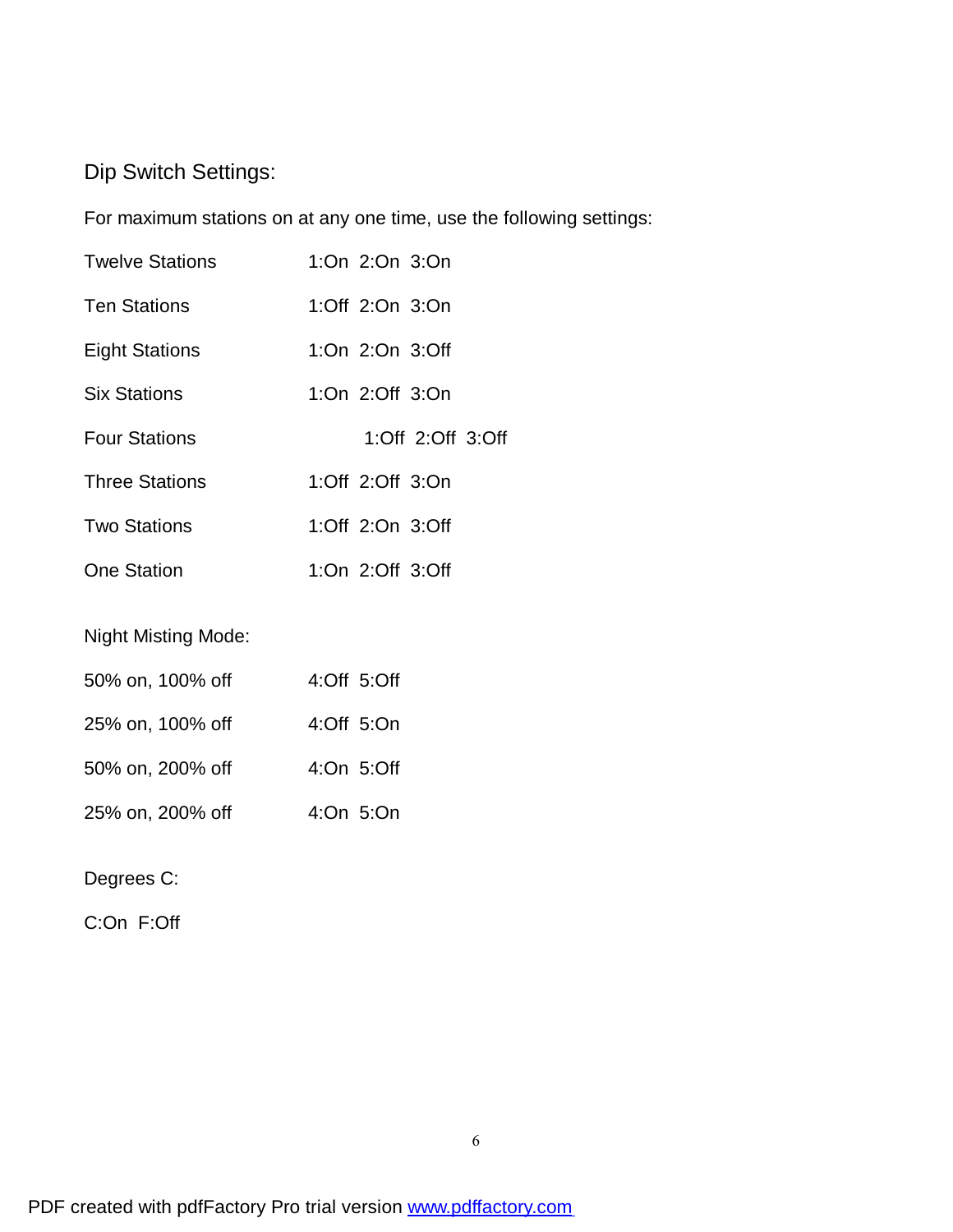## Dip Switch Settings:

For maximum stations on at any one time, use the following settings:

| <b>Twelve Stations</b> | 1:On 2:On 3:On       |  |  |
|------------------------|----------------------|--|--|
| <b>Ten Stations</b>    | 1:Off 2:On 3:On      |  |  |
| <b>Eight Stations</b>  | 1:On 2:On 3:Off      |  |  |
| <b>Six Stations</b>    | 1:On 2:Off 3:On      |  |  |
| <b>Four Stations</b>   | 1: Off 2: Off 3: Off |  |  |
| <b>Three Stations</b>  | 1:Off 2:Off 3:On     |  |  |
| <b>Two Stations</b>    | 1:Off 2:On 3:Off     |  |  |
| <b>One Station</b>     | 1:On 2:Off 3:Off     |  |  |
| Night Misting Mode:    |                      |  |  |
| 50% on, 100% off       | 4:Off 5:Off          |  |  |
| 25% on, 100% off       | 4:Off 5:On           |  |  |
| 50% on, 200% off       | 4:On 5:Off           |  |  |

25% on, 200% off 4:On 5:On

#### Degrees C:

C:On F:Off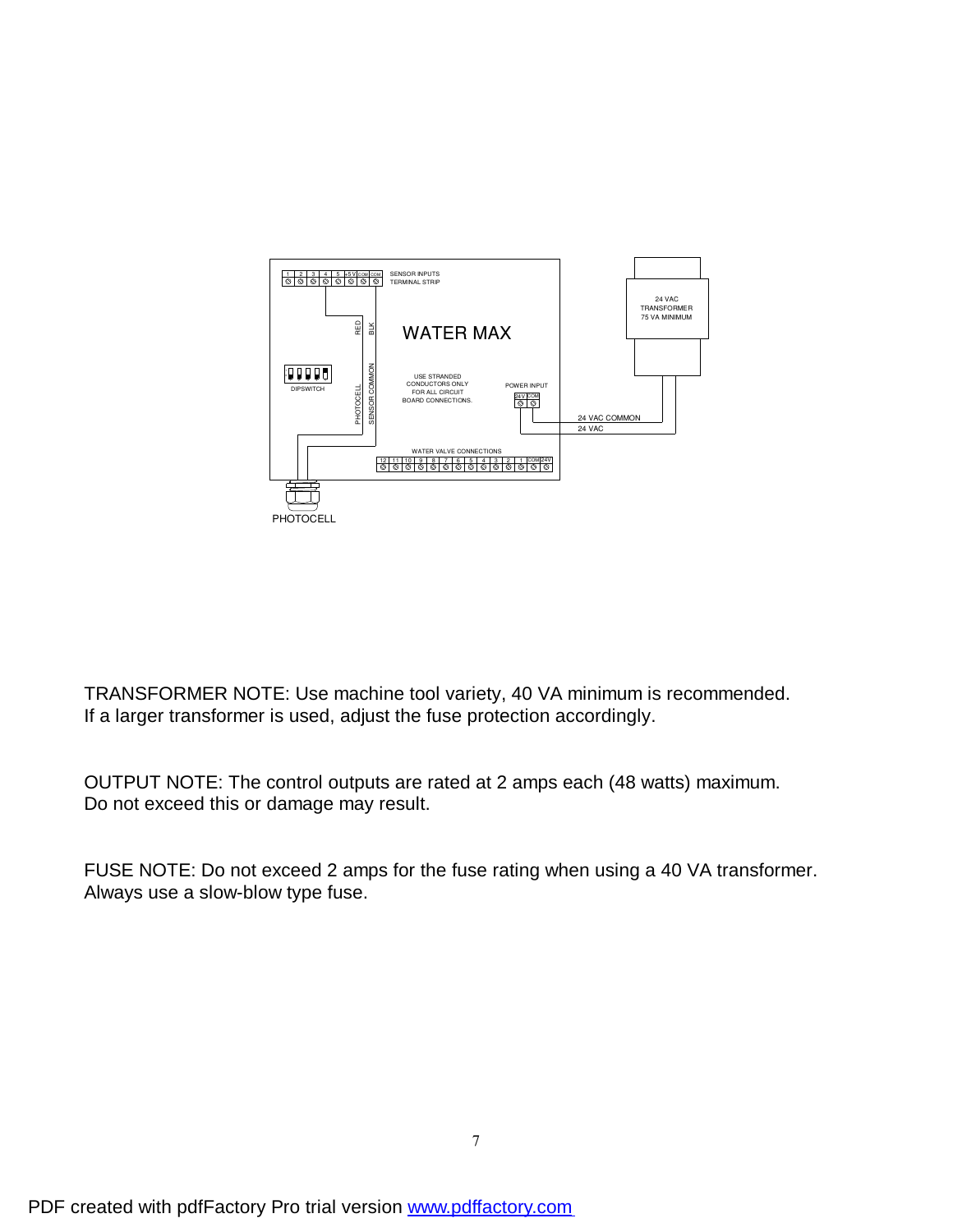

TRANSFORMER NOTE: Use machine tool variety, 40 VA minimum is recommended. If a larger transformer is used, adjust the fuse protection accordingly.

OUTPUT NOTE: The control outputs are rated at 2 amps each (48 watts) maximum. Do not exceed this or damage may result.

FUSE NOTE: Do not exceed 2 amps for the fuse rating when using a 40 VA transformer. Always use a slow-blow type fuse.